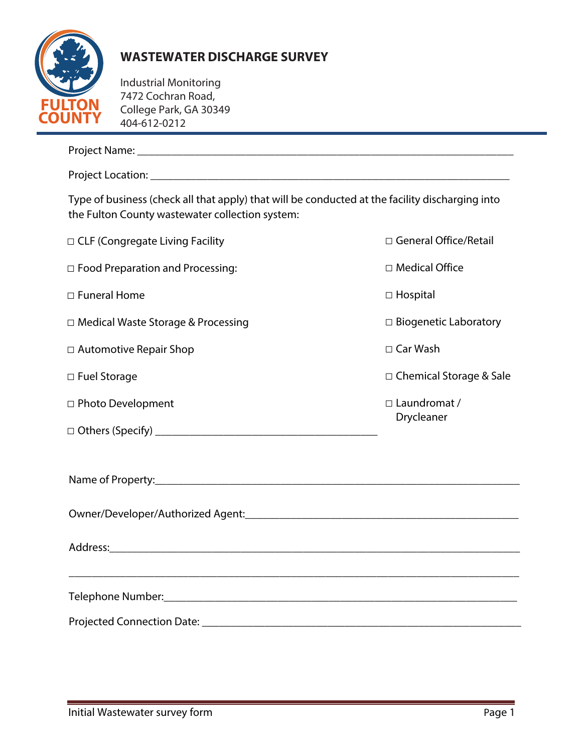

## **WASTEWATER DISCHARGE SURVEY**

Industrial Monitoring 7472 Cochran Road, College Park, GA 30349 404-612-0212

| Type of business (check all that apply) that will be conducted at the facility discharging into<br>the Fulton County wastewater collection system: |                                   |  |  |
|----------------------------------------------------------------------------------------------------------------------------------------------------|-----------------------------------|--|--|
| □ CLF (Congregate Living Facility                                                                                                                  | □ General Office/Retail           |  |  |
| $\Box$ Food Preparation and Processing:                                                                                                            | □ Medical Office                  |  |  |
| □ Funeral Home                                                                                                                                     | $\Box$ Hospital                   |  |  |
| □ Medical Waste Storage & Processing                                                                                                               | $\Box$ Biogenetic Laboratory      |  |  |
| □ Automotive Repair Shop                                                                                                                           | $\Box$ Car Wash                   |  |  |
| □ Fuel Storage                                                                                                                                     | □ Chemical Storage & Sale         |  |  |
| □ Photo Development                                                                                                                                | $\Box$ Laundromat /<br>Drycleaner |  |  |
|                                                                                                                                                    |                                   |  |  |
|                                                                                                                                                    |                                   |  |  |
|                                                                                                                                                    |                                   |  |  |
|                                                                                                                                                    |                                   |  |  |
|                                                                                                                                                    |                                   |  |  |
|                                                                                                                                                    |                                   |  |  |